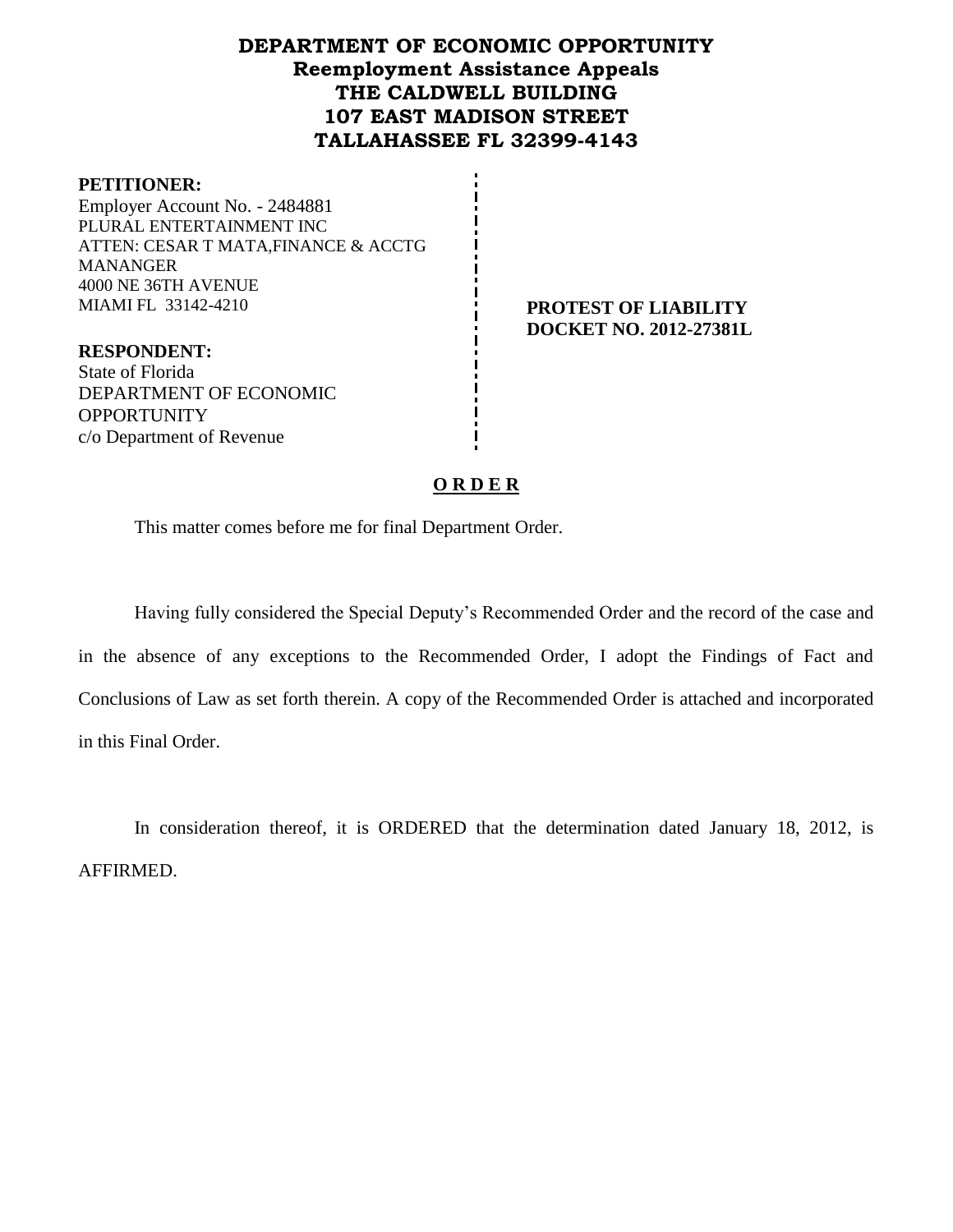## **DEPARTMENT OF ECONOMIC OPPORTUNITY Reemployment Assistance Appeals THE CALDWELL BUILDING 107 EAST MADISON STREET TALLAHASSEE FL 32399-4143**

#### **PETITIONER:**

Employer Account No. - 2484881 PLURAL ENTERTAINMENT INC ATTEN: CESAR T MATA,FINANCE & ACCTG **MANANGER** 4000 NE 36TH AVENUE MIAMI FL 33142-4210 **PROTEST OF LIABILITY**

**DOCKET NO. 2012-27381L**

**RESPONDENT:** State of Florida DEPARTMENT OF ECONOMIC **OPPORTUNITY** c/o Department of Revenue

#### **O R D E R**

This matter comes before me for final Department Order.

Having fully considered the Special Deputy's Recommended Order and the record of the case and in the absence of any exceptions to the Recommended Order, I adopt the Findings of Fact and Conclusions of Law as set forth therein. A copy of the Recommended Order is attached and incorporated in this Final Order.

In consideration thereof, it is ORDERED that the determination dated January 18, 2012, is AFFIRMED.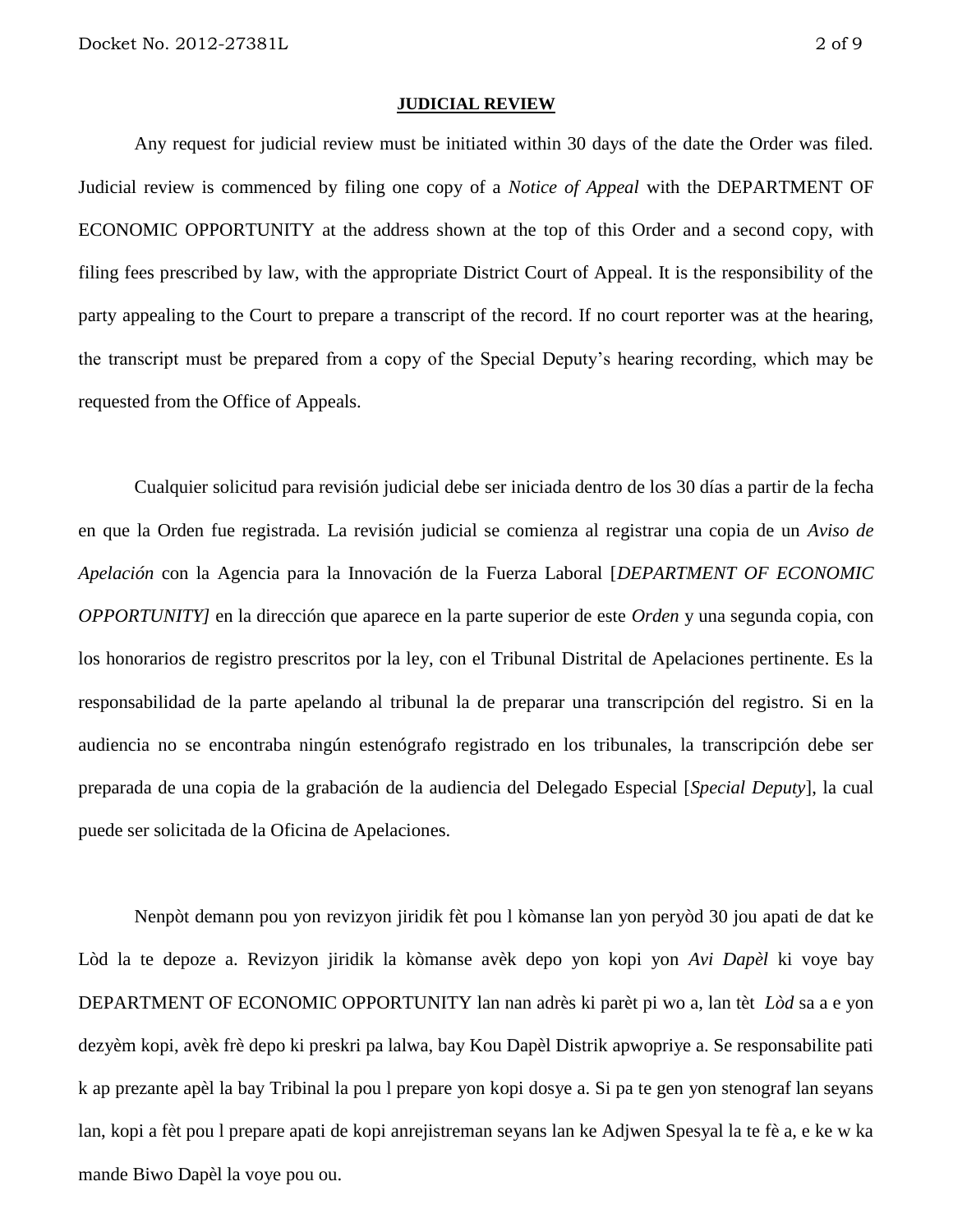#### **JUDICIAL REVIEW**

Any request for judicial review must be initiated within 30 days of the date the Order was filed. Judicial review is commenced by filing one copy of a *Notice of Appeal* with the DEPARTMENT OF ECONOMIC OPPORTUNITY at the address shown at the top of this Order and a second copy, with filing fees prescribed by law, with the appropriate District Court of Appeal. It is the responsibility of the party appealing to the Court to prepare a transcript of the record. If no court reporter was at the hearing, the transcript must be prepared from a copy of the Special Deputy's hearing recording, which may be requested from the Office of Appeals.

Cualquier solicitud para revisión judicial debe ser iniciada dentro de los 30 días a partir de la fecha en que la Orden fue registrada. La revisión judicial se comienza al registrar una copia de un *Aviso de Apelación* con la Agencia para la Innovación de la Fuerza Laboral [*DEPARTMENT OF ECONOMIC OPPORTUNITY]* en la dirección que aparece en la parte superior de este *Orden* y una segunda copia, con los honorarios de registro prescritos por la ley, con el Tribunal Distrital de Apelaciones pertinente. Es la responsabilidad de la parte apelando al tribunal la de preparar una transcripción del registro. Si en la audiencia no se encontraba ningún estenógrafo registrado en los tribunales, la transcripción debe ser preparada de una copia de la grabación de la audiencia del Delegado Especial [*Special Deputy*], la cual puede ser solicitada de la Oficina de Apelaciones.

Nenpòt demann pou yon revizyon jiridik fèt pou l kòmanse lan yon peryòd 30 jou apati de dat ke Lòd la te depoze a. Revizyon jiridik la kòmanse avèk depo yon kopi yon *Avi Dapèl* ki voye bay DEPARTMENT OF ECONOMIC OPPORTUNITY lan nan adrès ki parèt pi wo a, lan tèt *Lòd* sa a e yon dezyèm kopi, avèk frè depo ki preskri pa lalwa, bay Kou Dapèl Distrik apwopriye a. Se responsabilite pati k ap prezante apèl la bay Tribinal la pou l prepare yon kopi dosye a. Si pa te gen yon stenograf lan seyans lan, kopi a fèt pou l prepare apati de kopi anrejistreman seyans lan ke Adjwen Spesyal la te fè a, e ke w ka mande Biwo Dapèl la voye pou ou.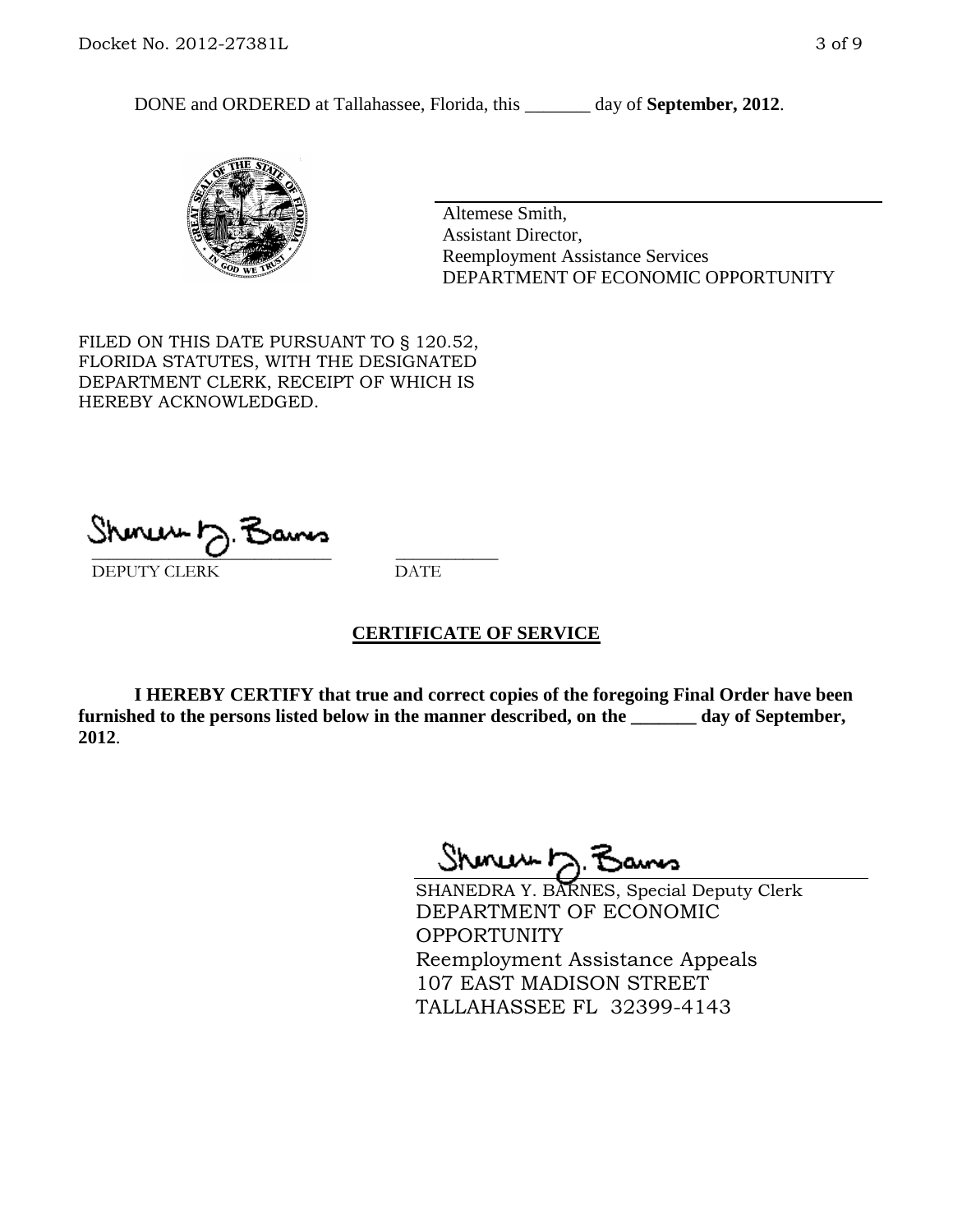DONE and ORDERED at Tallahassee, Florida, this \_\_\_\_\_\_\_ day of **September, 2012**.



Altemese Smith, Assistant Director, Reemployment Assistance Services DEPARTMENT OF ECONOMIC OPPORTUNITY

FILED ON THIS DATE PURSUANT TO § 120.52, FLORIDA STATUTES, WITH THE DESIGNATED DEPARTMENT CLERK, RECEIPT OF WHICH IS HEREBY ACKNOWLEDGED.

\_\_\_\_\_\_\_\_\_\_\_\_\_\_\_\_\_\_\_\_\_\_\_\_\_\_\_\_ \_\_\_\_\_\_\_\_\_\_\_\_ DEPUTY CLERK DATE

### **CERTIFICATE OF SERVICE**

**I HEREBY CERTIFY that true and correct copies of the foregoing Final Order have been furnished to the persons listed below in the manner described, on the \_\_\_\_\_\_\_ day of September, 2012**.

Shinuu h.

SHANEDRA Y. BARNES, Special Deputy Clerk DEPARTMENT OF ECONOMIC **OPPORTUNITY** Reemployment Assistance Appeals 107 EAST MADISON STREET TALLAHASSEE FL 32399-4143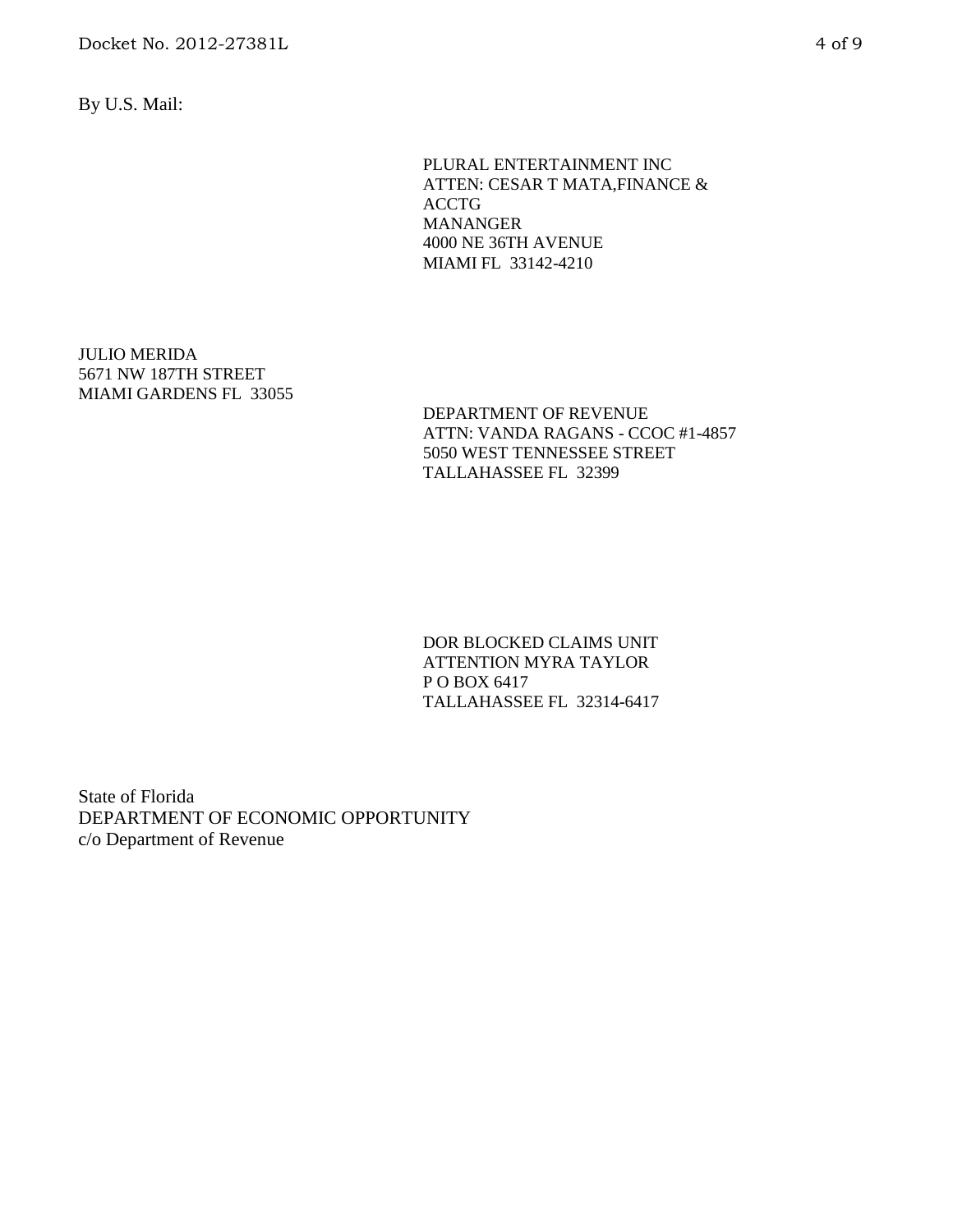By U.S. Mail:

PLURAL ENTERTAINMENT INC ATTEN: CESAR T MATA,FINANCE & ACCTG MANANGER 4000 NE 36TH AVENUE MIAMI FL 33142-4210

JULIO MERIDA 5671 NW 187TH STREET MIAMI GARDENS FL 33055

DEPARTMENT OF REVENUE ATTN: VANDA RAGANS - CCOC #1-4857 5050 WEST TENNESSEE STREET TALLAHASSEE FL 32399

DOR BLOCKED CLAIMS UNIT ATTENTION MYRA TAYLOR P O BOX 6417 TALLAHASSEE FL 32314-6417

State of Florida DEPARTMENT OF ECONOMIC OPPORTUNITY c/o Department of Revenue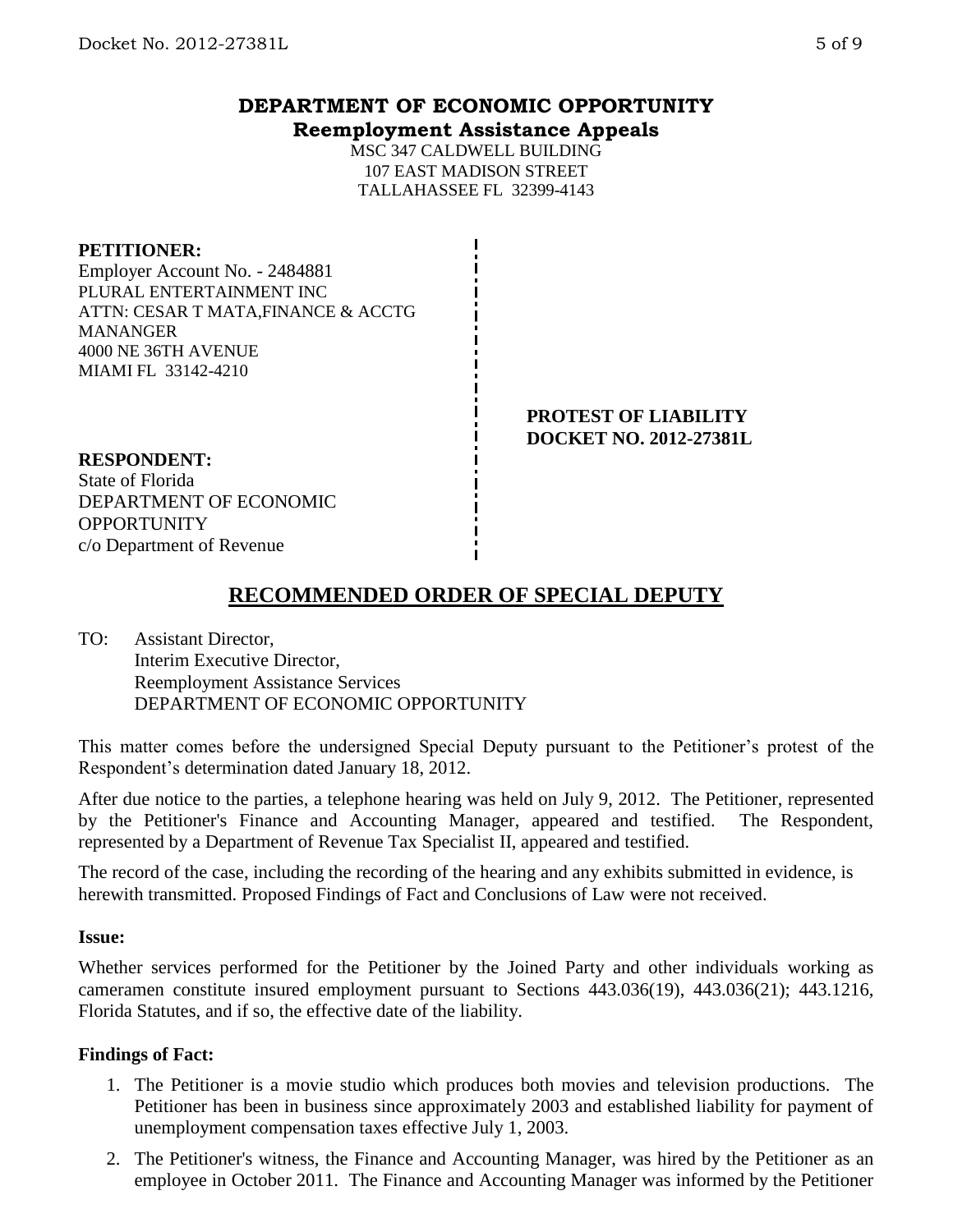## **DEPARTMENT OF ECONOMIC OPPORTUNITY Reemployment Assistance Appeals**

MSC 347 CALDWELL BUILDING 107 EAST MADISON STREET TALLAHASSEE FL 32399-4143

#### **PETITIONER:**

Employer Account No. - 2484881 PLURAL ENTERTAINMENT INC ATTN: CESAR T MATA,FINANCE & ACCTG MANANGER 4000 NE 36TH AVENUE MIAMI FL 33142-4210

> **PROTEST OF LIABILITY DOCKET NO. 2012-27381L**

**RESPONDENT:** State of Florida DEPARTMENT OF ECONOMIC **OPPORTUNITY** c/o Department of Revenue

# **RECOMMENDED ORDER OF SPECIAL DEPUTY**

TO: Assistant Director, Interim Executive Director, Reemployment Assistance Services DEPARTMENT OF ECONOMIC OPPORTUNITY

This matter comes before the undersigned Special Deputy pursuant to the Petitioner's protest of the Respondent's determination dated January 18, 2012.

After due notice to the parties, a telephone hearing was held on July 9, 2012. The Petitioner, represented by the Petitioner's Finance and Accounting Manager, appeared and testified. The Respondent, represented by a Department of Revenue Tax Specialist II, appeared and testified.

The record of the case, including the recording of the hearing and any exhibits submitted in evidence, is herewith transmitted. Proposed Findings of Fact and Conclusions of Law were not received.

### **Issue:**

Whether services performed for the Petitioner by the Joined Party and other individuals working as cameramen constitute insured employment pursuant to Sections 443.036(19), 443.036(21); 443.1216, Florida Statutes, and if so, the effective date of the liability.

### **Findings of Fact:**

- 1. The Petitioner is a movie studio which produces both movies and television productions. The Petitioner has been in business since approximately 2003 and established liability for payment of unemployment compensation taxes effective July 1, 2003.
- 2. The Petitioner's witness, the Finance and Accounting Manager, was hired by the Petitioner as an employee in October 2011. The Finance and Accounting Manager was informed by the Petitioner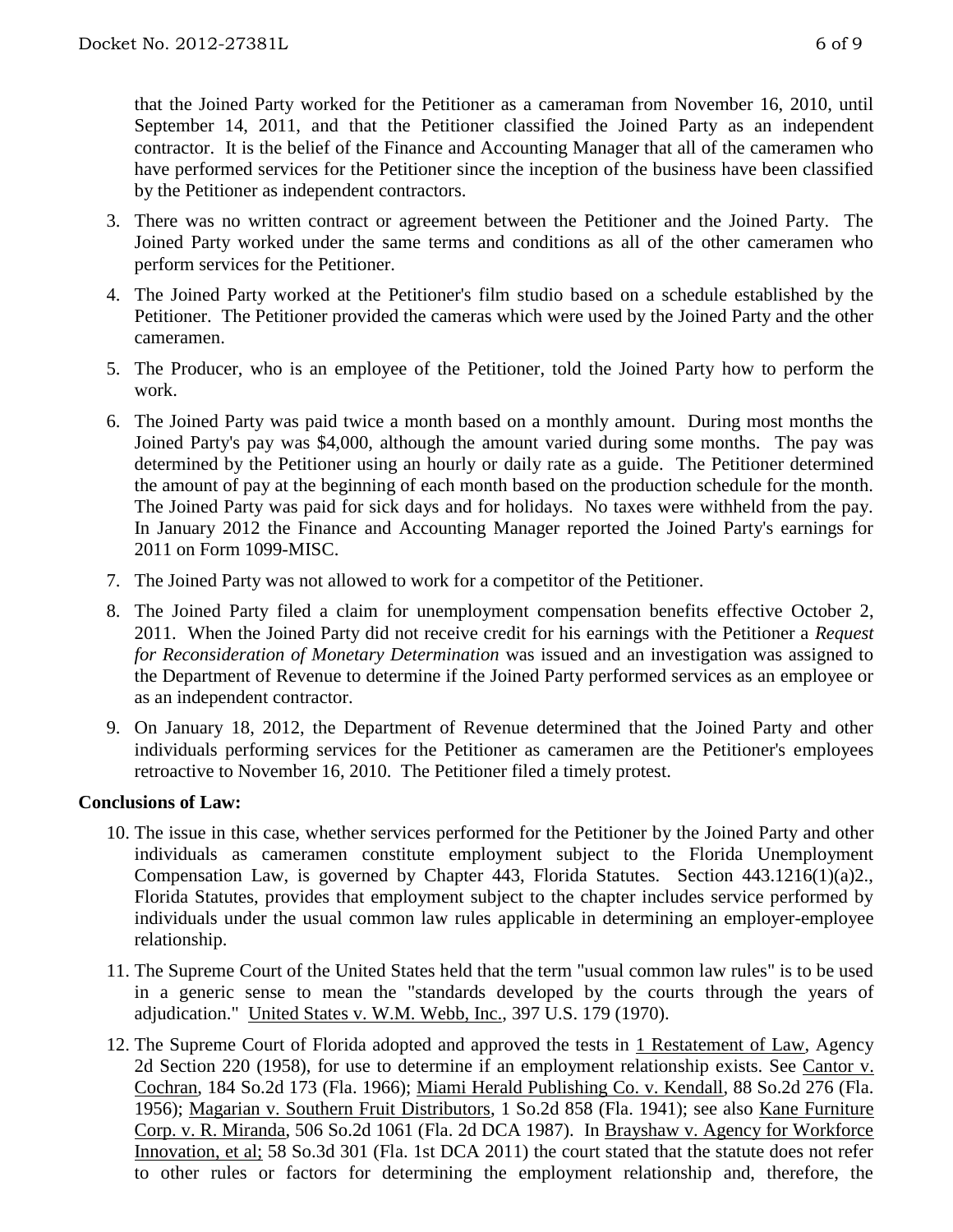that the Joined Party worked for the Petitioner as a cameraman from November 16, 2010, until September 14, 2011, and that the Petitioner classified the Joined Party as an independent contractor. It is the belief of the Finance and Accounting Manager that all of the cameramen who have performed services for the Petitioner since the inception of the business have been classified by the Petitioner as independent contractors.

- 3. There was no written contract or agreement between the Petitioner and the Joined Party. The Joined Party worked under the same terms and conditions as all of the other cameramen who perform services for the Petitioner.
- 4. The Joined Party worked at the Petitioner's film studio based on a schedule established by the Petitioner. The Petitioner provided the cameras which were used by the Joined Party and the other cameramen.
- 5. The Producer, who is an employee of the Petitioner, told the Joined Party how to perform the work.
- 6. The Joined Party was paid twice a month based on a monthly amount. During most months the Joined Party's pay was \$4,000, although the amount varied during some months. The pay was determined by the Petitioner using an hourly or daily rate as a guide. The Petitioner determined the amount of pay at the beginning of each month based on the production schedule for the month. The Joined Party was paid for sick days and for holidays. No taxes were withheld from the pay. In January 2012 the Finance and Accounting Manager reported the Joined Party's earnings for 2011 on Form 1099-MISC.
- 7. The Joined Party was not allowed to work for a competitor of the Petitioner.
- 8. The Joined Party filed a claim for unemployment compensation benefits effective October 2, 2011. When the Joined Party did not receive credit for his earnings with the Petitioner a *Request for Reconsideration of Monetary Determination* was issued and an investigation was assigned to the Department of Revenue to determine if the Joined Party performed services as an employee or as an independent contractor.
- 9. On January 18, 2012, the Department of Revenue determined that the Joined Party and other individuals performing services for the Petitioner as cameramen are the Petitioner's employees retroactive to November 16, 2010. The Petitioner filed a timely protest.

### **Conclusions of Law:**

- 10. The issue in this case, whether services performed for the Petitioner by the Joined Party and other individuals as cameramen constitute employment subject to the Florida Unemployment Compensation Law, is governed by Chapter 443, Florida Statutes. Section 443.1216(1)(a)2., Florida Statutes, provides that employment subject to the chapter includes service performed by individuals under the usual common law rules applicable in determining an employer-employee relationship.
- 11. The Supreme Court of the United States held that the term "usual common law rules" is to be used in a generic sense to mean the "standards developed by the courts through the years of adjudication." United States v. W.M. Webb, Inc., 397 U.S. 179 (1970).
- 12. The Supreme Court of Florida adopted and approved the tests in 1 Restatement of Law, Agency 2d Section 220 (1958), for use to determine if an employment relationship exists. See Cantor v. Cochran, 184 So.2d 173 (Fla. 1966); Miami Herald Publishing Co. v. Kendall, 88 So.2d 276 (Fla. 1956); Magarian v. Southern Fruit Distributors, 1 So.2d 858 (Fla. 1941); see also Kane Furniture Corp. v. R. Miranda, 506 So.2d 1061 (Fla. 2d DCA 1987). In Brayshaw v. Agency for Workforce Innovation, et al; 58 So.3d 301 (Fla. 1st DCA 2011) the court stated that the statute does not refer to other rules or factors for determining the employment relationship and, therefore, the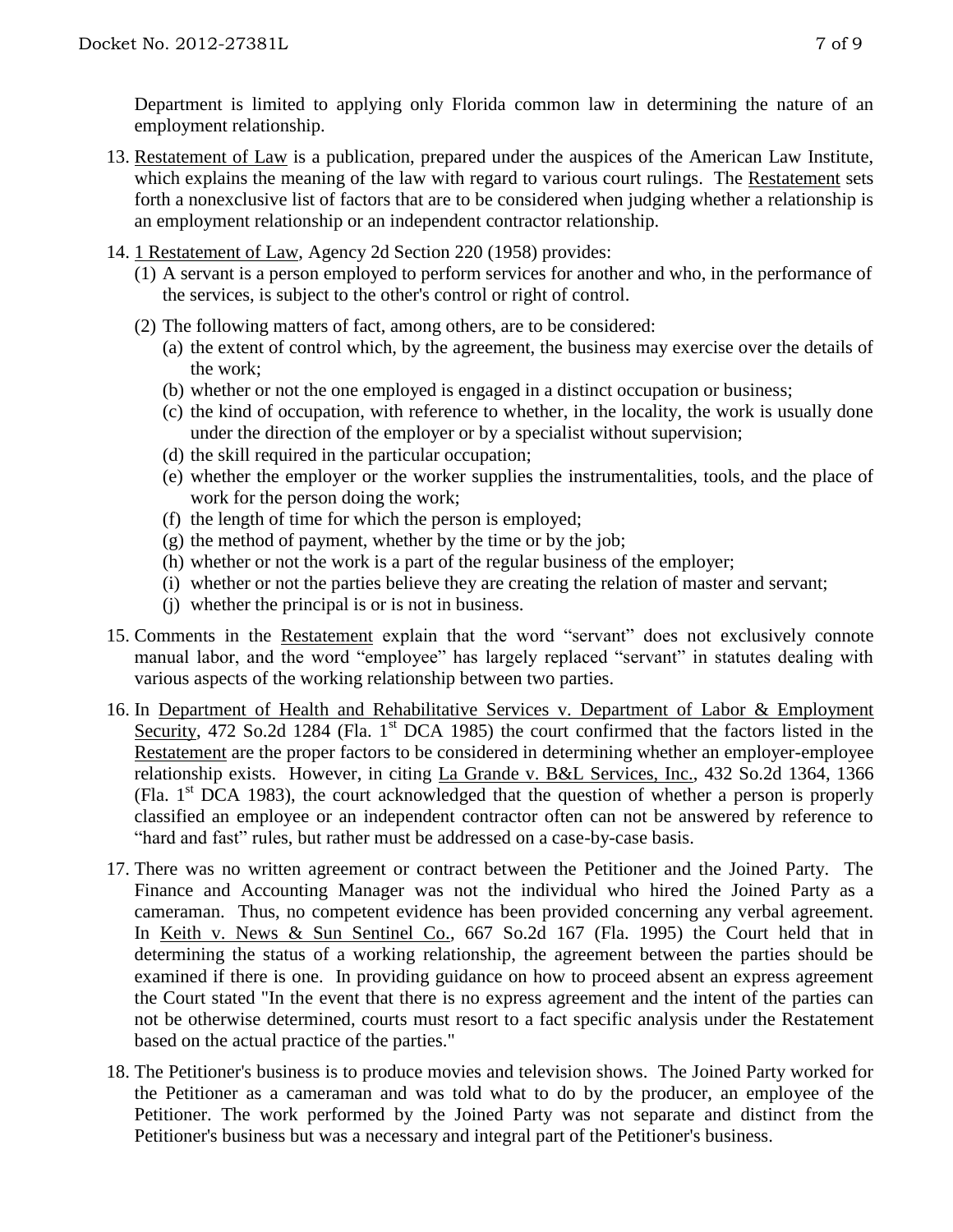Department is limited to applying only Florida common law in determining the nature of an employment relationship.

- 13. Restatement of Law is a publication, prepared under the auspices of the American Law Institute, which explains the meaning of the law with regard to various court rulings. The Restatement sets forth a nonexclusive list of factors that are to be considered when judging whether a relationship is an employment relationship or an independent contractor relationship.
- 14. 1 Restatement of Law, Agency 2d Section 220 (1958) provides:
	- (1) A servant is a person employed to perform services for another and who, in the performance of the services, is subject to the other's control or right of control.
	- (2) The following matters of fact, among others, are to be considered:
		- (a) the extent of control which, by the agreement, the business may exercise over the details of the work;
		- (b) whether or not the one employed is engaged in a distinct occupation or business;
		- (c) the kind of occupation, with reference to whether, in the locality, the work is usually done under the direction of the employer or by a specialist without supervision;
		- (d) the skill required in the particular occupation;
		- (e) whether the employer or the worker supplies the instrumentalities, tools, and the place of work for the person doing the work;
		- (f) the length of time for which the person is employed;
		- (g) the method of payment, whether by the time or by the job;
		- (h) whether or not the work is a part of the regular business of the employer;
		- (i) whether or not the parties believe they are creating the relation of master and servant;
		- (j) whether the principal is or is not in business.
- 15. Comments in the Restatement explain that the word "servant" does not exclusively connote manual labor, and the word "employee" has largely replaced "servant" in statutes dealing with various aspects of the working relationship between two parties.
- 16. In Department of Health and Rehabilitative Services v. Department of Labor & Employment Security, 472 So.2d 1284 (Fla. 1<sup>st</sup> DCA 1985) the court confirmed that the factors listed in the Restatement are the proper factors to be considered in determining whether an employer-employee relationship exists. However, in citing La Grande v. B&L Services, Inc., 432 So.2d 1364, 1366 (Fla.  $1<sup>st</sup> DCA$  1983), the court acknowledged that the question of whether a person is properly classified an employee or an independent contractor often can not be answered by reference to "hard and fast" rules, but rather must be addressed on a case-by-case basis.
- 17. There was no written agreement or contract between the Petitioner and the Joined Party. The Finance and Accounting Manager was not the individual who hired the Joined Party as a cameraman. Thus, no competent evidence has been provided concerning any verbal agreement. In Keith v. News & Sun Sentinel Co., 667 So.2d 167 (Fla. 1995) the Court held that in determining the status of a working relationship, the agreement between the parties should be examined if there is one. In providing guidance on how to proceed absent an express agreement the Court stated "In the event that there is no express agreement and the intent of the parties can not be otherwise determined, courts must resort to a fact specific analysis under the Restatement based on the actual practice of the parties."
- 18. The Petitioner's business is to produce movies and television shows. The Joined Party worked for the Petitioner as a cameraman and was told what to do by the producer, an employee of the Petitioner. The work performed by the Joined Party was not separate and distinct from the Petitioner's business but was a necessary and integral part of the Petitioner's business.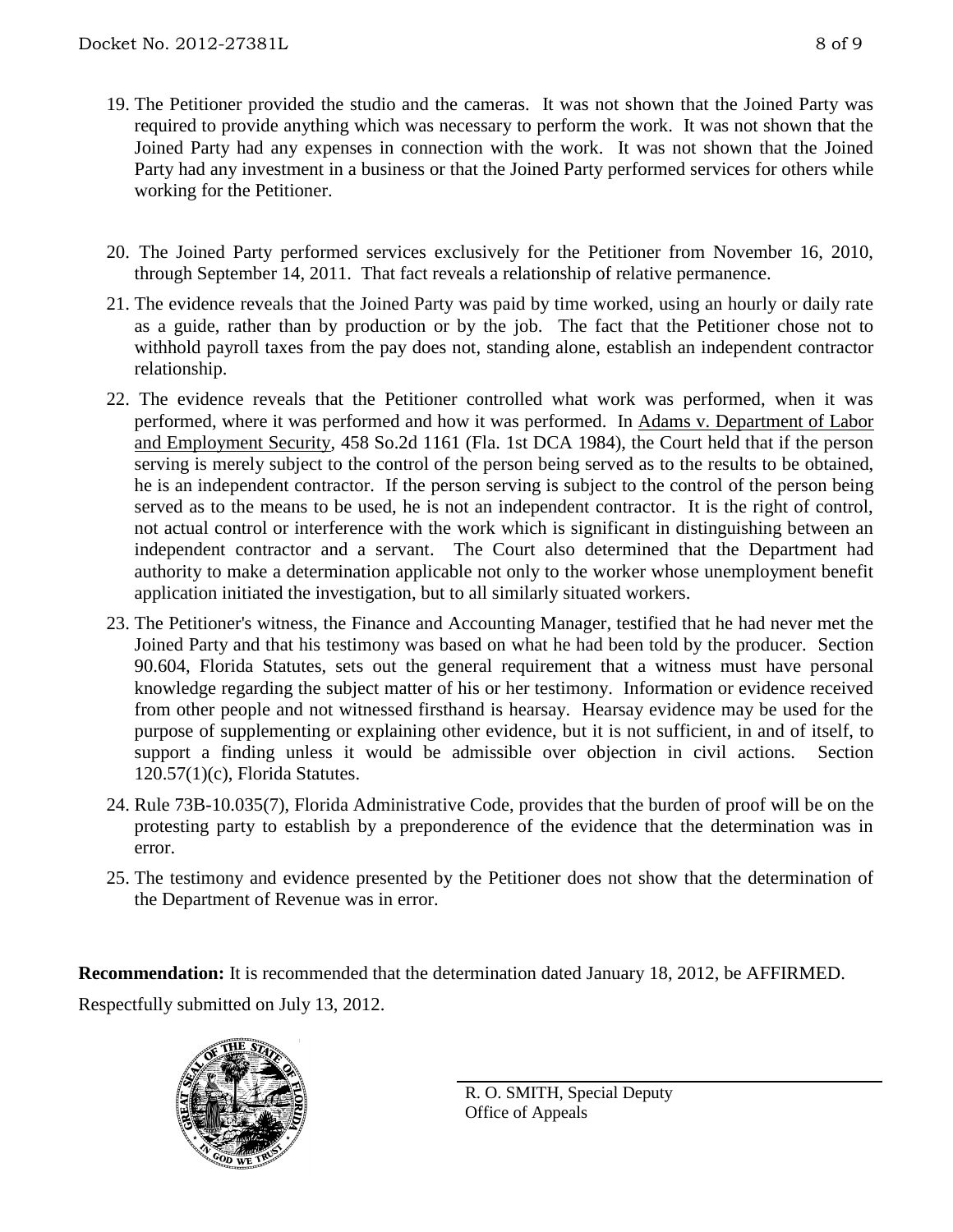- 19. The Petitioner provided the studio and the cameras. It was not shown that the Joined Party was required to provide anything which was necessary to perform the work. It was not shown that the Joined Party had any expenses in connection with the work. It was not shown that the Joined Party had any investment in a business or that the Joined Party performed services for others while working for the Petitioner.
- 20. The Joined Party performed services exclusively for the Petitioner from November 16, 2010, through September 14, 2011. That fact reveals a relationship of relative permanence.
- 21. The evidence reveals that the Joined Party was paid by time worked, using an hourly or daily rate as a guide, rather than by production or by the job. The fact that the Petitioner chose not to withhold payroll taxes from the pay does not, standing alone, establish an independent contractor relationship.
- 22. The evidence reveals that the Petitioner controlled what work was performed, when it was performed, where it was performed and how it was performed. In Adams v. Department of Labor and Employment Security, 458 So.2d 1161 (Fla. 1st DCA 1984), the Court held that if the person serving is merely subject to the control of the person being served as to the results to be obtained, he is an independent contractor. If the person serving is subject to the control of the person being served as to the means to be used, he is not an independent contractor. It is the right of control, not actual control or interference with the work which is significant in distinguishing between an independent contractor and a servant. The Court also determined that the Department had authority to make a determination applicable not only to the worker whose unemployment benefit application initiated the investigation, but to all similarly situated workers.
- 23. The Petitioner's witness, the Finance and Accounting Manager, testified that he had never met the Joined Party and that his testimony was based on what he had been told by the producer. Section 90.604, Florida Statutes, sets out the general requirement that a witness must have personal knowledge regarding the subject matter of his or her testimony. Information or evidence received from other people and not witnessed firsthand is hearsay. Hearsay evidence may be used for the purpose of supplementing or explaining other evidence, but it is not sufficient, in and of itself, to support a finding unless it would be admissible over objection in civil actions. Section 120.57(1)(c), Florida Statutes.
- 24. Rule 73B-10.035(7), Florida Administrative Code, provides that the burden of proof will be on the protesting party to establish by a preponderence of the evidence that the determination was in error.
- 25. The testimony and evidence presented by the Petitioner does not show that the determination of the Department of Revenue was in error.

**Recommendation:** It is recommended that the determination dated January 18, 2012, be AFFIRMED. Respectfully submitted on July 13, 2012.